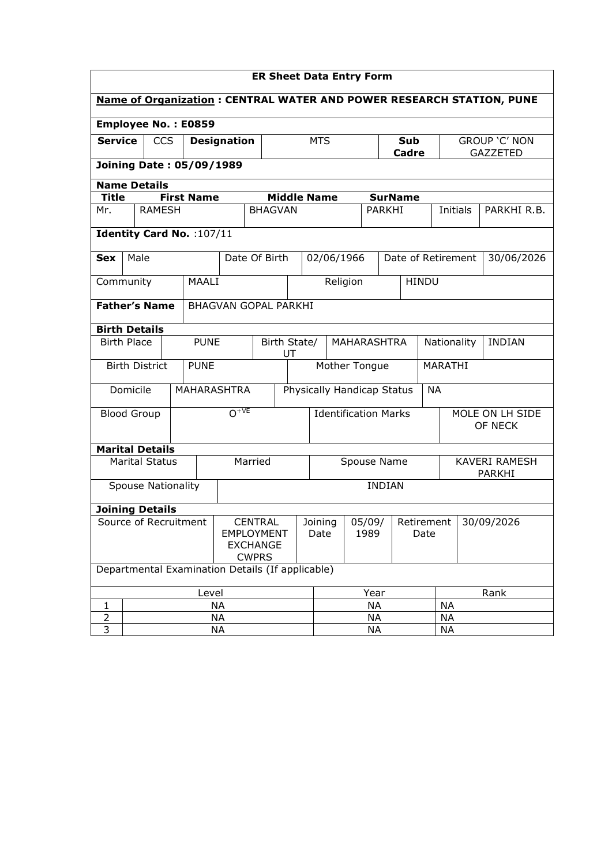| <b>ER Sheet Data Entry Form</b>                                             |                                                        |                           |                    |                                                                        |                             |                                      |                                   |                                           |                                               |                            |               |              |                            |                    |                 |
|-----------------------------------------------------------------------------|--------------------------------------------------------|---------------------------|--------------------|------------------------------------------------------------------------|-----------------------------|--------------------------------------|-----------------------------------|-------------------------------------------|-----------------------------------------------|----------------------------|---------------|--------------|----------------------------|--------------------|-----------------|
| <b>Name of Organization: CENTRAL WATER AND POWER RESEARCH STATION, PUNE</b> |                                                        |                           |                    |                                                                        |                             |                                      |                                   |                                           |                                               |                            |               |              |                            |                    |                 |
|                                                                             | Employee No.: E0859                                    |                           |                    |                                                                        |                             |                                      |                                   |                                           |                                               |                            |               |              |                            |                    |                 |
| <b>Service</b>                                                              |                                                        | <b>CCS</b>                | <b>Designation</b> |                                                                        |                             |                                      |                                   |                                           | <b>MTS</b><br>Sub                             |                            |               |              | GROUP 'C' NON              |                    |                 |
|                                                                             |                                                        |                           |                    |                                                                        |                             |                                      |                                   |                                           |                                               |                            | Cadre         |              |                            |                    | <b>GAZZETED</b> |
|                                                                             | <b>Joining Date: 05/09/1989</b><br><b>Name Details</b> |                           |                    |                                                                        |                             |                                      |                                   |                                           |                                               |                            |               |              |                            |                    |                 |
| <b>Title</b>                                                                |                                                        |                           |                    | <b>First Name</b>                                                      |                             | <b>Middle Name</b><br><b>SurName</b> |                                   |                                           |                                               |                            |               |              |                            |                    |                 |
| Mr.                                                                         |                                                        | <b>RAMESH</b>             |                    |                                                                        |                             | <b>BHAGVAN</b>                       |                                   |                                           |                                               |                            | <b>PARKHI</b> |              |                            | Initials           | PARKHI R.B.     |
|                                                                             |                                                        |                           |                    | Identity Card No. : 107/11                                             |                             |                                      |                                   |                                           |                                               |                            |               |              |                            |                    |                 |
| <b>Sex</b>                                                                  | Male                                                   |                           |                    |                                                                        | Date Of Birth               |                                      |                                   |                                           | 02/06/1966                                    |                            |               |              |                            | Date of Retirement | 30/06/2026      |
| Community                                                                   |                                                        |                           |                    | MAALI                                                                  |                             |                                      |                                   |                                           | Religion                                      |                            |               | <b>HINDU</b> |                            |                    |                 |
| <b>Father's Name</b>                                                        |                                                        |                           |                    |                                                                        | <b>BHAGVAN GOPAL PARKHI</b> |                                      |                                   |                                           |                                               |                            |               |              |                            |                    |                 |
|                                                                             | <b>Birth Details</b>                                   |                           |                    |                                                                        |                             |                                      |                                   |                                           |                                               |                            |               |              |                            |                    |                 |
|                                                                             | <b>Birth Place</b>                                     |                           |                    | <b>PUNE</b>                                                            |                             | Birth State/<br>UT                   |                                   |                                           | <b>MAHARASHTRA</b>                            |                            |               |              | Nationality                |                    | <b>INDIAN</b>   |
|                                                                             |                                                        | <b>Birth District</b>     |                    | <b>PUNE</b>                                                            |                             | Mother Tongue                        |                                   |                                           |                                               | MARATHI                    |               |              |                            |                    |                 |
|                                                                             | Domicile                                               |                           |                    |                                                                        | <b>MAHARASHTRA</b>          |                                      |                                   |                                           |                                               | Physically Handicap Status |               |              | <b>NA</b>                  |                    |                 |
|                                                                             | <b>Blood Group</b>                                     |                           |                    |                                                                        | $O^{+VE}$                   |                                      |                                   |                                           | <b>Identification Marks</b>                   |                            |               |              | MOLE ON LH SIDE<br>OF NECK |                    |                 |
| <b>Marital Details</b>                                                      |                                                        |                           |                    |                                                                        |                             |                                      |                                   |                                           |                                               |                            |               |              |                            |                    |                 |
|                                                                             |                                                        | <b>Marital Status</b>     |                    |                                                                        |                             | Married                              |                                   |                                           | <b>KAVERI RAMESH</b><br>Spouse Name<br>PARKHI |                            |               |              |                            |                    |                 |
|                                                                             |                                                        | <b>Spouse Nationality</b> |                    |                                                                        |                             |                                      | <b>INDIAN</b>                     |                                           |                                               |                            |               |              |                            |                    |                 |
| <b>Joining Details</b>                                                      |                                                        |                           |                    |                                                                        |                             |                                      |                                   |                                           |                                               |                            |               |              |                            |                    |                 |
| Source of Recruitment                                                       |                                                        |                           |                    | <b>CENTRAL</b><br><b>EMPLOYMENT</b><br><b>EXCHANGE</b><br><b>CWPRS</b> |                             |                                      | Joining<br>05/09/<br>Date<br>1989 |                                           | Retirement<br>Date                            |                            |               | 30/09/2026   |                            |                    |                 |
| Departmental Examination Details (If applicable)                            |                                                        |                           |                    |                                                                        |                             |                                      |                                   |                                           |                                               |                            |               |              |                            |                    |                 |
| Level                                                                       |                                                        |                           |                    |                                                                        |                             | Year                                 |                                   |                                           |                                               | Rank                       |               |              |                            |                    |                 |
| 1                                                                           | <b>NA</b>                                              |                           |                    |                                                                        |                             | <b>NA</b><br><b>NA</b>               |                                   |                                           |                                               |                            |               |              |                            |                    |                 |
| $\overline{2}$<br>3                                                         | <b>NA</b><br>NA                                        |                           |                    |                                                                        |                             |                                      |                                   | <b>NA</b><br><b>NA</b><br>NA<br><b>NA</b> |                                               |                            |               |              |                            |                    |                 |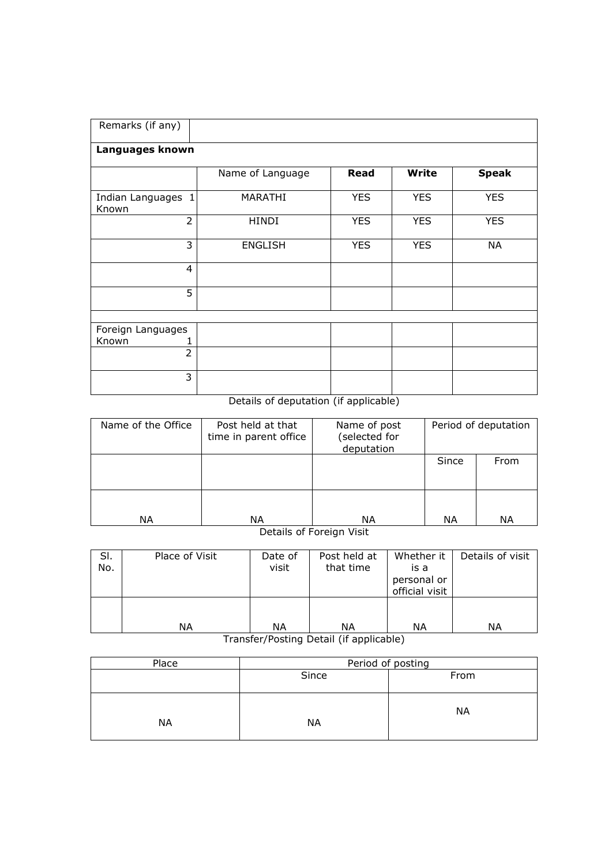| Remarks (if any)            |                  |            |              |              |
|-----------------------------|------------------|------------|--------------|--------------|
| Languages known             |                  |            |              |              |
|                             | Name of Language | Read       | <b>Write</b> | <b>Speak</b> |
| Indian Languages 1<br>Known | <b>MARATHI</b>   | <b>YES</b> | <b>YES</b>   | <b>YES</b>   |
| $\overline{2}$              | <b>HINDI</b>     | <b>YES</b> | <b>YES</b>   | <b>YES</b>   |
| 3                           | <b>ENGLISH</b>   | <b>YES</b> | <b>YES</b>   | <b>NA</b>    |
| $\overline{4}$              |                  |            |              |              |
| 5                           |                  |            |              |              |
|                             |                  |            |              |              |
| Foreign Languages           |                  |            |              |              |
| Known                       |                  |            |              |              |
| $\overline{2}$              |                  |            |              |              |
| 3                           |                  |            |              |              |

## Details of deputation (if applicable)

| Name of the Office | Post held at that<br>time in parent office | Name of post<br>(selected for<br>deputation | Period of deputation |      |  |
|--------------------|--------------------------------------------|---------------------------------------------|----------------------|------|--|
|                    |                                            |                                             | Since                | From |  |
| NА                 | NА                                         | ΝA                                          | ΝA                   | NА   |  |

Details of Foreign Visit

| SI.<br>No. | Place of Visit | Date of<br>visit | Post held at<br>that time | Whether it<br>is a<br>personal or<br>official visit | Details of visit |
|------------|----------------|------------------|---------------------------|-----------------------------------------------------|------------------|
|            | ΝA             | ΝA               | ΝA                        | ΝA<br>.                                             | ΝA               |

Transfer/Posting Detail (if applicable)

| Place     | Period of posting |           |  |  |  |  |
|-----------|-------------------|-----------|--|--|--|--|
|           | Since             | From      |  |  |  |  |
| <b>NA</b> | <b>NA</b>         | <b>NA</b> |  |  |  |  |